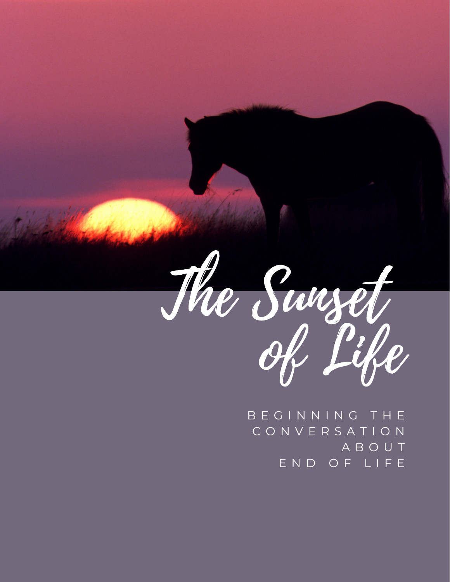

B E G I N N I N G T H E C O N V E R S A T I O N A B O U T E N D O F L I F E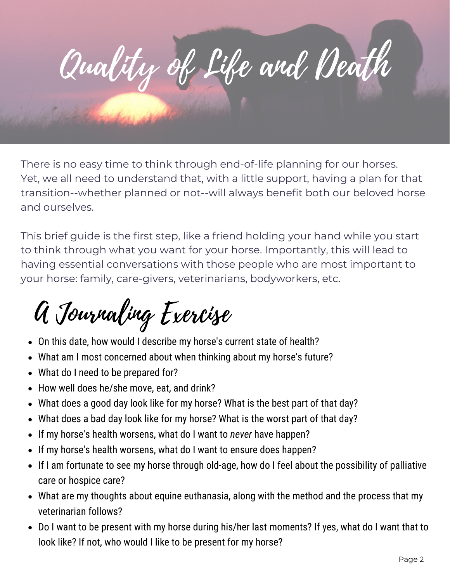

There is no easy time to think through end-of-life planning for our horses. Yet, we all need to understand that, with a little support, having a plan for that transition--whether planned or not--will always benefit both our beloved horse and ourselves.

This brief guide is the first step, like a friend holding your hand while you start to think through what you want for your horse. Importantly, this will lead to having essential conversations with those people who are most important to your horse: family, care-givers, veterinarians, bodyworkers, etc.

## A Journaling Exercise

- On this date, how would I describe my horse's current state of health?
- What am I most concerned about when thinking about my horse's future?
- What do I need to be prepared for?
- How well does he/she move, eat, and drink?
- What does a good day look like for my horse? What is the best part of that day?
- What does a bad day look like for my horse? What is the worst part of that day?
- If my horse's health worsens, what do I want to *never* have happen?
- If my horse's health worsens, what do I want to ensure does happen?
- If I am fortunate to see my horse through old-age, how do I feel about the possibility of palliative care or hospice care?
- What are my thoughts about equine euthanasia, along with the method and the process that my veterinarian follows?
- Do I want to be present with my horse during his/her last moments? If yes, what do I want that to look like? If not, who would I like to be present for my horse?